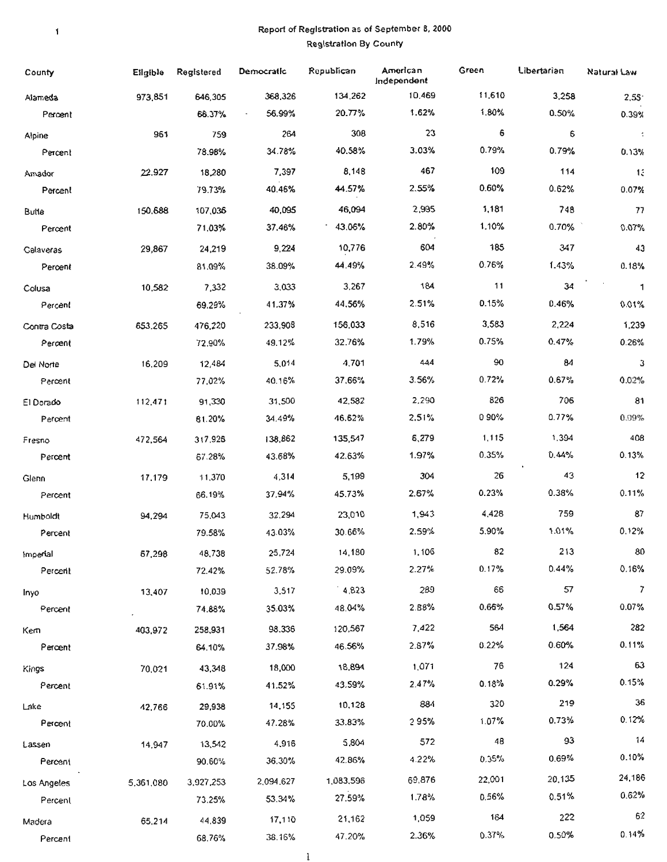### Re port of Registration as of September 8, 2000 Registration By County

 $\mathbf{I}$ 

| County              | Eilgible  | Registered        | Democratic       | Republican        | American<br>Independent | Green       | Libertarian | Natural Law          |
|---------------------|-----------|-------------------|------------------|-------------------|-------------------------|-------------|-------------|----------------------|
| Alameda             | 973,851   | 646,305           | 368,326          | 134,262           | 10,469                  | 11,610      | 3,258       | 2,55                 |
| Percent             |           | 66.37%            | 56.99%           | 20.77%            | 1.62%                   | 1.80%       | 0.50%       | 0.39%                |
| Alpine              | 961       | 759               | 264              | 308               | 23                      | 6           | 6           | $\ddot{\phantom{1}}$ |
| Percent             |           | 78.98%            | 34.78%           | 40.58%            | 3.03%                   | 0.79%       | 0.79%       | 0.13%                |
| Amador              | 22,927    | 18,280            | 7,397            | 8,148             | 467                     | 109         | 114         | 13                   |
| Percent             |           | 79.73%            | 40.46%           | 44.57%            | 2.55%                   | 0.60%       | 0.62%       | 0.07%                |
| Butte               | 150,688   | 107,036           | 40,095           | 46,094            | 2,995                   | 1,181       | 748         | 77                   |
| Percent             |           | 71.03%            | 37.46%           | 43.06%            | 2.80%                   | 1.10%       | 0.70%       | 0.07%                |
| Calaveras           | 29,867    | 24,219            | 9,224            | 10,776            | 604                     | 185         | 347         | 43                   |
| Percent             |           | 81.09%            | 38.09%           | 44.49%            | 2.49%                   | 0.76%       | 1.43%       | 0.18%                |
| Colusa              | 10,582    | 7,332             | 3,033            | 3,267             | 184                     | 11          | 34          | $\mathbf{1}$         |
| Percent             |           | 69.29%            | 41.37%           | 44.56%            | 2.51%                   | 0.15%       | 0.46%       | 0.01%                |
| Contra Costa        | 653.265   | 476,220           | 233,908          | 156,033           | 8,516                   | 3,583       | 2,224       | 1,239                |
| Percent             |           | 72.90%            | 49.12%           | 32.76%            | 1.79%                   | 0.75%       | 0.47%       | 0.26%                |
| Del Norte           | 16,209    | 12,484            | 5,014            | 4,701             | 444                     | 90          | 84          | з                    |
| Percent             |           | 77.02%            | 40.16%           | 37.66%            | 3.56%                   | 0.72%       | 0.67%       | 0.02%                |
| El Dorado           | 112,471   | 91,330            | 31,500           | 42,582            | 2,290                   | 826         | 706         | 81                   |
| Percent             |           | 81.20%            | 34.49%           | 46.62%            | 2.51%                   | 090%        | 0.77%       | 0.09%                |
| Fresno              | 472,564   | 317,926           | 138,862          | 135,547           | 6,279                   | 1,115       | 1.394       | 408                  |
| Percent             |           | 67.28%            | 43.68%           | 42.63%            | 1.97%                   | 0.35%       | 0.44%       | 0.13%                |
| Glenn               | 17,179    | 11,370            | 4,314            | 5,199             | 304                     | 26          | 43          | 12                   |
| Percent             |           | 66.19%            | 37.94%           | 45.73%            | 2.67%                   | 0.23%       | 0.38%       | 0.11%                |
|                     | 94,294    | 75,043            | 32,294           | 23,010            | 1,943                   | 4,428       | 759         | 87                   |
| Humboldt<br>Percent |           | 79.58%            | 43.03%           | 30.66%            | 2.59%                   | 5.90%       | 1.01%       | 0.12%                |
|                     |           |                   | 25,724           | 14,180            | 1,106                   | 82          | 213         | 80                   |
| imperial<br>Percent | 67,298    | 48,738<br>72.42%  | 52.78%           | 29.09%            | 2.27%                   | 0.17%       | 0.44%       | 0.16%                |
|                     |           |                   | 3,517            | 4,823             | 289                     | 66          | 57          | $\overline{7}$       |
| Inyo<br>Percent     | 13,407    | 10,039<br>74.88%  | 35.03%           | 48.04%            | 2.88%                   | 0.66%       | 0.57%       | 0.07%                |
|                     |           |                   |                  |                   | 7,422                   | 564         | 1,564       | 282                  |
| Kem<br>Percent      | 403,972   | 258,931<br>64.10% | 98.336<br>37,98% | 120,567<br>46.56% | 2.87%                   | 0.22%       | 0.60%       | 0.11%                |
|                     |           |                   |                  |                   |                         | 76          | 124         | 63                   |
| Kings               | 70,021    | 43,348            | 18,000           | 18,894<br>43,59%  | 1,071<br>2.47%          | 0.18%       | 0.29%       | 0.15%                |
| Percent             |           | 61.91%            | 41.52%           |                   |                         | 320         | 219         | 36                   |
| Lake                | 42,766    | 29,938            | 14,155           | 10,128            | 884<br>295%             | 1.07%       | 0.73%       | 0.12%                |
| Percent             |           | 70.00%            | 47.28%           | 33.83%            |                         |             | 93          | 14                   |
| Lassen              | 14,947    | 13,542            | 4,916            | 5,804             | 572                     | 48<br>0.35% | 0.69%       | 0.10%                |
| Percent             |           | 90.60%            | 36.30%           | 42.86%            | 4.22%                   |             |             | 24,186               |
| Los Angeles         | 5,361,080 | 3,927,253         | 2,094.627        | 1,083,596         | 69,876                  | 22,001      | 20,135      | 0.62%                |
| Percent             |           | 73.25%            | 53.34%           | 27.59%            | 1.78%                   | 0.56%       | 0.51%       |                      |
| Madera              | 65,214    | 44,839            | 17,110           | 21,162            | 1,059                   | 164         | 222         | 62                   |
| Percent             |           | 68.76%            | 38.16%           | 47.20%            | 2.36%                   | 0.37%       | 0.50%       | 0.14%                |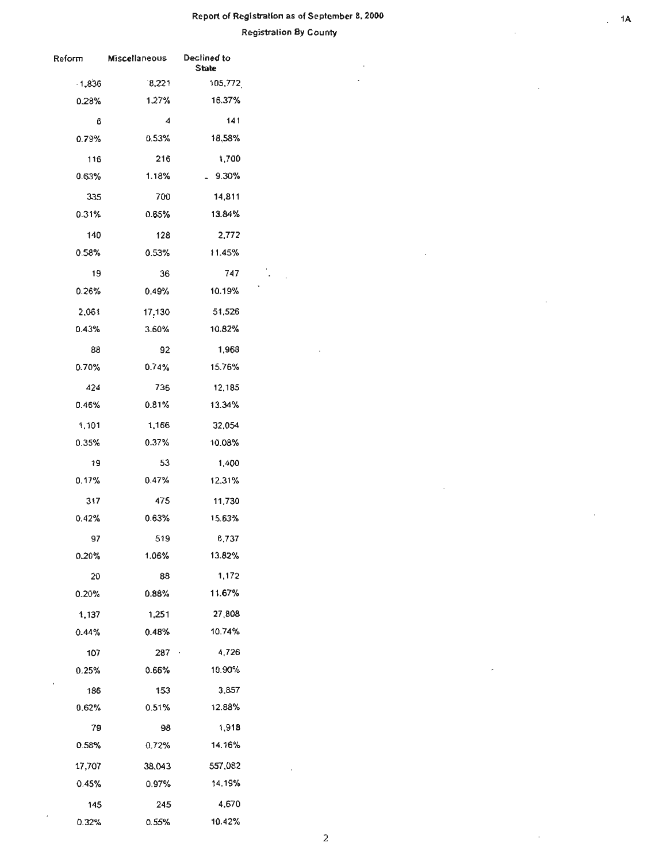#### Report of Registration **as** of September 8, 2000

 $\ddot{\phantom{a}}$  $\mathbb{R}^2$ 

#### **Registration By County**

 $\overline{\phantom{a}}$  $\overline{a}$ 

 $\bar{z}$ 

J.

| <b>Reform</b> | <b>Miscellaneous</b> | Declined to<br><b>State</b> |  |  |
|---------------|----------------------|-----------------------------|--|--|
| $-1,836$      | 8,221                | 105,772                     |  |  |
| 0.28%         | 1.27%                | 16.37%                      |  |  |
| 6             | 4                    | 141                         |  |  |
| 0.79%         | 0.53%                | 18,58%                      |  |  |
| 116           | 216                  | 1,700                       |  |  |
| 0.63%         | 1.18%                | $-9.30%$                    |  |  |
| 335           | 700                  | 14,811                      |  |  |
| 0.31%         | 0.65%                | 13.84%                      |  |  |
| 140           | 128                  | 2,772                       |  |  |
| 0.58%         | 0.53%                | 11.45%                      |  |  |
| 19            | 36                   | 747                         |  |  |
| 0.26%         | 0.49%                | 10.19%                      |  |  |
| 2,061         | 17,130               | 51,526                      |  |  |
| 0.43%         | 3.60%                | 10.82%                      |  |  |
| 88            | 92                   | 1,968                       |  |  |
| 0.70%         | 0.74%                | 15.76%                      |  |  |
| 424           | 736                  | 12,185                      |  |  |
| 0.46%         | 0.81%                | 13.34%                      |  |  |
| 1,101         | 1,166                | 32,054                      |  |  |
| 0.35%         | 0.37%                | 10.08%                      |  |  |
| 19            | 53                   | 1,400                       |  |  |
| $0.17\%$      | 0.47%                | 12.31%                      |  |  |
| 317           | 475                  | 11,730                      |  |  |
| 0.42%         | 0.63%                | 15.63%                      |  |  |
| 97            | 519                  | 6,737                       |  |  |
| 0.20%         | 1.06%                | 13.82%                      |  |  |
| 20            | 88                   | 1,172                       |  |  |
| $0.20\%$      | 0.88%                | 11.67%                      |  |  |
| 1,137         | 1,251                | 27,808                      |  |  |
| 0.44%         | $0.48\%$             | 10.74%                      |  |  |
| 107           | 287 ·                | 4,726                       |  |  |
| 0.25%         | 0.66%                | 10.90%                      |  |  |
| 186           | 153                  | 3.857                       |  |  |
| $0.62\%$      | 0.51%                | 12.88%                      |  |  |
| 79            | 98                   | 1,918                       |  |  |
| 0.58%         | 0.72%                | 14.16%                      |  |  |
| 17,707        | 38,043               | 557,082                     |  |  |
| 0.45%         | 0.97%                | 14.19%                      |  |  |
| 145           | 245                  | 4,670                       |  |  |
| 0.32%         | 0.55%                | 10.42%                      |  |  |

 $\ddot{\phantom{a}}$ 

l,

 $. 1A$ 

 $\cdot$ 

 $\overline{a}$ 

÷,

2

 $\bar{z}$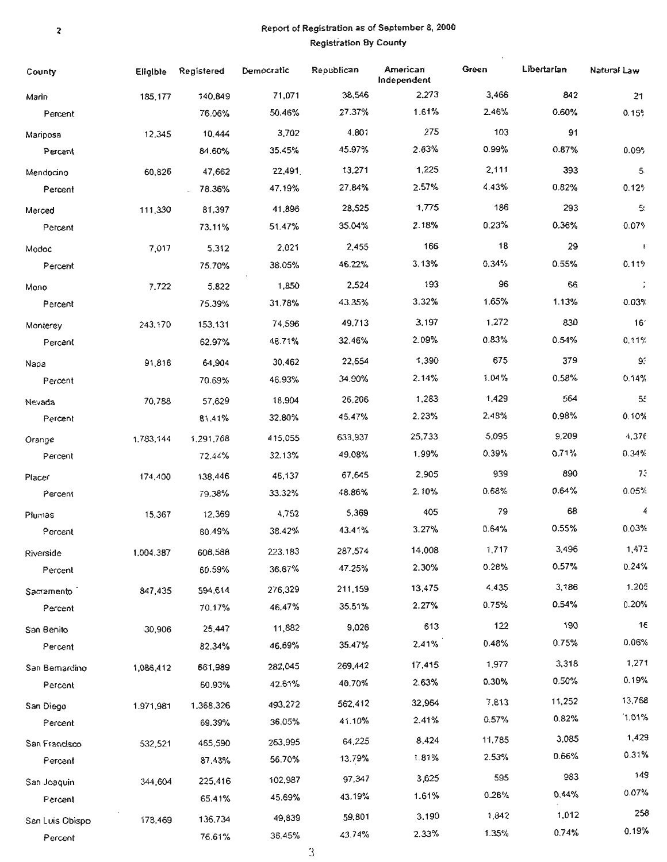#### , Report of Registration as of September 8, 2000 Registration By County

| County            | <b>Eligible</b> | Registered               | Democratic        | Republican       | American<br>Independent | Green       | Libertarian    | Natural Law          |
|-------------------|-----------------|--------------------------|-------------------|------------------|-------------------------|-------------|----------------|----------------------|
| Marin             | 185,177         | 140,849                  | 71,071            | 38,546           | 2,273                   | 3,466       | 842            | 21                   |
| Percent           |                 | 76.06%                   | 50.46%            | 27.37%           | 1.61%                   | 246%        | 0.60%          | 0.15%                |
| Mariposa          | 12,345          | 10,444                   | 3,702             | 4.801            | 275                     | 103         | 91             |                      |
| Percent           |                 | 84.60%                   | 35.45%            | 45.97%           | 2.63%                   | 0.99%       | 0.87%          | 0.09%                |
| Mendocino         | 60,826          | 47,662                   | 22,491            | 13,271           | 1,225                   | 2,111       | 393            | 5                    |
| Percent           |                 | 78.36%<br>$\overline{a}$ | 47.19%            | 27.84%           | 2.57%                   | 4.43%       | 0.82%          | 0.12%                |
| Merced            | 111,330         | 81,397                   | 41,896            | 28,525           | 1,775                   | 186         | 293            | 5.                   |
| Percent           |                 | 73.11%                   | 51.47%            | 35.04%           | 2.18%                   | 0.23%       | 0.36%          | 0.07%                |
| Modoc             | 7,017           | 5,312                    | 2,021             | 2,455            | 166                     | 18          | 29             | $\mathbb{I}$         |
| Percent           |                 | 75.70%                   | 38.05%            | 46.22%           | 3.13%                   | 0.34%       | 0.55%          | 0.11%                |
| Mono              | 7,722           | 5,822                    | 1,850             | 2,524            | 193                     | 96          | 66             | $\ddot{\phantom{1}}$ |
| Percent           |                 | 75.39%                   | 31.78%            | 43.35%           | 3.32%                   | 1.65%       | 1.13%          | 0.03%                |
| Monterey          | 243,170         | 153,131                  | 74,596            | 49,713           | 3,197                   | 1,272       | 830            | 16'                  |
| Percent           |                 | 62.97%                   | 48.71%            | 32.46%           | 2.09%                   | 0.83%       | 0.54%          | 0.11%                |
|                   | 91,816          | 64,904                   | 30,462            | 22,654           | 1,390                   | 675         | 379            | 93                   |
| Napa<br>Percent   |                 | 70.69%                   | 46.93%            | 34.90%           | 2.14%                   | 1.04%       | 0.58%          | 0.14%                |
|                   |                 |                          | 18,904            | 26,206           | 1,283                   | 1,429       | 564            | 55                   |
| Nevada<br>Percent | 70,788          | 57,629<br>81.41%         | 32.80%            | 45.47%           | 2.23%                   | 2.48%       | 0.98%          | 0.10%                |
|                   |                 |                          |                   | 633,937          | 25,733                  | 5,095       | 9,209          | 4,376                |
| Orange            | 1.783,144       | 1,291,768<br>72.44%      | 415,055<br>32.13% | 49.08%           | 1.99%                   | 0.39%       | 0.71%          | 0.34%                |
| Percent           |                 |                          |                   |                  | 2.905                   | 939         | 890            | 73                   |
| Placer            | 174,400         | 138,446                  | 46,137            | 67,645<br>48.86% | 2.10%                   | 0.68%       | $0.64\%$       | 0.05%                |
| Percent           |                 | 79.38%                   | 33.32%            |                  |                         |             | 68             | 4                    |
| Plumas            | 15,367          | 12,369                   | 4,752             | 5,369            | 405<br>3.27%            | 79<br>0.64% | 0.55%          | 0.03%                |
| Percent           |                 | 80.49%                   | 38.42%            | 43.41%           |                         |             |                |                      |
| Riverside         | 1,004,387       | 608,588                  | 223,183           | 287,574          | 14,008                  | 1,717       | 3,496<br>0.57% | 1,473<br>0.24%       |
| Percent           |                 | 60.59%                   | 36.67%            | 47.25%           | 2.30%                   | 0.28%       |                |                      |
| Sacramento        | 847,435         | 594,614                  | 276,329           | 211,159          | 13,475                  | 4.435       | 3,186          | 1,205                |
| Percent           |                 | 70.17%                   | 46,47%            | 35.51%           | 2.27%                   | 0.75%       | 0.54%          | 0.20%                |
| San Benito        | 30,906          | 25,447                   | 11,882            | 9,026            | 613                     | 122         | 190            | 16                   |
| Percent           |                 | 82.34%                   | 46.69%            | 35.47%           | 2.41%                   | 0.48%       | 0.75%          | 0.06%                |
| San Bemardino     | 1,086,412       | 661,989                  | 282,045           | 269,442          | 17,415                  | 1,977       | 3,318          | 1,271                |
| Percent           |                 | 60.93%                   | 42.61%            | 40.70%           | 2.63%                   | 0.30%       | 0.50%          | 0.19%                |
| San Diego         | 1.971,981       | 1,368,326                | 493,272           | 562,412          | 32,964                  | 7,813       | 11,252         | 13,768               |
| Percent           |                 | 69.39%                   | 36.05%            | 41.10%           | 2.41%                   | 0.57%       | 0.82%          | 1.01%                |
| San Francisco     | 532,521         | 465,590                  | 263,995           | 64.225           | 8,424                   | 11,785      | 3,085          | 1,429                |
| Percent           |                 | 87,43%                   | 56.70%            | 13,79%           | 1.81%                   | 2.53%       | 0.66%          | 0.31%                |
| San Joaquin       | 344,604         | 225,416                  | 102,987           | 97,347           | 3,625                   | 595         | 983            | 149                  |
| Percent           |                 | 65.41%                   | 45.69%            | 43.19%           | 1.61%                   | 0.26%       | 0.44%          | 0.07%                |
| San Luis Obispo   | 178,469         | 136,734                  | 49,839            | 59,801           | 3.190                   | 1,842       | 1,012          | 258                  |
| Percent           |                 | 76.61%                   | 36.45%            | 43.74%           | 2.33%                   | 1.35%       | 0.74%          | 0.19%                |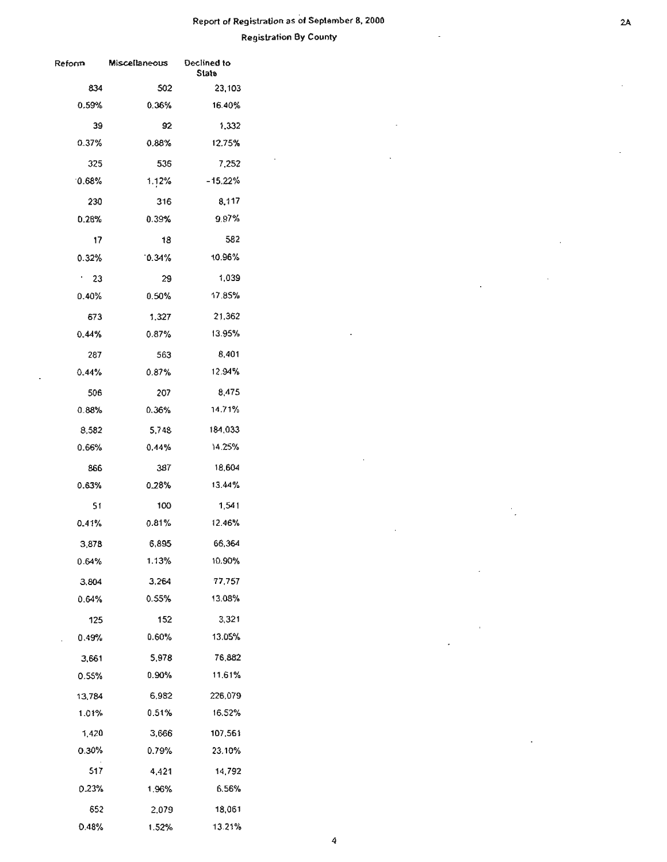# Report of Registration as of Seplember 8, 2000

 $\bar{a}$ 

Registration By County

 $\ddot{\phantom{a}}$ 

 $\bar{\mathcal{A}}$ 

 $\bar{z}$ 

 $\mathbf{r}$ 

| Reform   | Miscellaneous | Declined to<br>State |  |  |
|----------|---------------|----------------------|--|--|
| 834      | 502           | 23,103               |  |  |
| 0.59%    | 0.36%         | 16.40%               |  |  |
| 39       | 92            | 1,332                |  |  |
| 0.37%    | 0.88%         | 12.75%               |  |  |
| 325      | 536           | 7,252                |  |  |
| 0.68%    | 1.12%         | $-15.22%$            |  |  |
| 230      | 316           | 8,117                |  |  |
| 0.28%    | 0.39%         | 9.97%                |  |  |
| 17       | 18            | 582                  |  |  |
| $0.32\%$ | $0.34\%$      | 10.96%               |  |  |
| ٠.<br>23 | 29            | 1,039                |  |  |
| $0.40\%$ | $0.50\%$      | 17.85%               |  |  |
| 673      | 1,327         | 21.362               |  |  |
| $0.44\%$ | $0.87\%$      | 13.95%               |  |  |
| 287      | 563           | 8.401                |  |  |
| 0.44%    | 0.87%         | 12.94%               |  |  |
| 506      | 207           | 8,475                |  |  |
| 0.88%    | 0.36%         | 14.71%               |  |  |
| 8,582    | 5,748         | 184,033              |  |  |
| 0.66%    | 0.44%         | 14.25%               |  |  |
| 866      | 387           | 18,604               |  |  |
| 0.63%    | 0.28%         | 13.44%               |  |  |
| 51       | 100           | 1,541                |  |  |
| 0.41%    | 0.81%         | 12.46%               |  |  |
| 3,878    | 6,895         | 66,364               |  |  |
| 0.64%    | 1.13%         | 10.90%               |  |  |
| 3,804    | 3,264         | 77,757               |  |  |
| 0.64%    | 0.55%         | 13.08%               |  |  |
| 125      | 152           | 3,321                |  |  |
| 0.49%    | 0.60%         | 13.05%               |  |  |
| 3,661    | 5,978         | 76,882               |  |  |
| 0.55%    | 0.90%         | 11.61%               |  |  |
| 13,784   | 6,982         | 226,079              |  |  |
| 1.01%    | 0.51%         | 16,52%               |  |  |
| 1,420    | 3,666         | 107,561              |  |  |
| 0.30%    | 0.79%         | 23,10%               |  |  |
| 517      | 4,421         | 14,792               |  |  |
| 0.23%    | 1.96%         | 6.56%                |  |  |
| 652      | 2,079         | 18,061               |  |  |
| 0.48%    | 1.52%         | 13.21%               |  |  |

÷.

L.

 $\cdot$ 

 $\ddot{\phantom{a}}$ 

 $\cdot$  .

 $\ddot{\phantom{a}}$ 

 $\overline{\phantom{a}}$ 

 $\bar{1}$ 

 $\overline{a}$ 

 $\sim$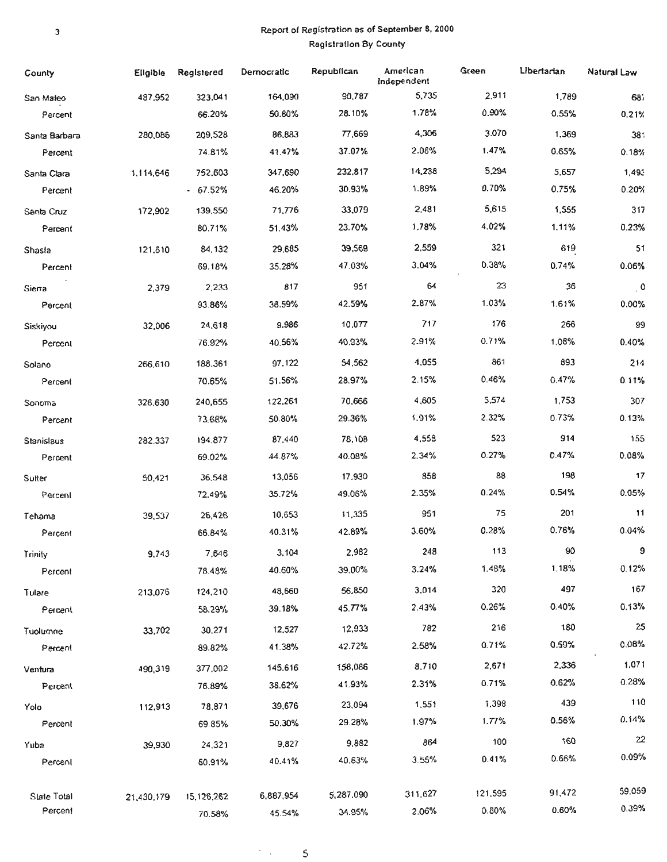#### Report of Registration as of September 8, 2000 **Registration By County**

| County            | Eligible   | Registered      | Democratic | Republican       | American<br>Independent | Green   | Libertarian | Natural Law     |
|-------------------|------------|-----------------|------------|------------------|-------------------------|---------|-------------|-----------------|
| San Mateo         | 487,952    | 323,041         | 164,090    | 90,787           | 5,735                   | 2.911   | 1,789       | 687             |
| Percent           |            | 66.20%          | 50.80%     | 28.10%           | 1.78%                   | 0.90%   | 0.55%       | 0.21%           |
| Santa Barbara     | 280,086    | 209,528         | 86,883     | 77,669           | 4,306                   | 3.070   | 1,369       | 38 <sup>°</sup> |
| Percent           |            | 74.81%          | 41.47%     | 37.07%           | 2.06%                   | 1.47%   | 0.65%       | 0.18%           |
| Santa Clara       | 1,114,646  | 752,603         | 347,690    | 232,817          | 14,238                  | 5,294   | 5,657       | 1,493           |
| Percent           |            | $-67.52%$       | 46.20%     | 30.93%           | 1.89%                   | 0.70%   | 0.75%       | 0.20%           |
| Santa Cruz        | 172,902    | 139,550         | 71,776     | 33,079           | 2,481                   | 5,615   | 1,555       | 317             |
| Percent           |            | 80.71%          | 51.43%     | 23.70%           | 1.78%                   | 4.02%   | 1.11%       | 0.23%           |
| Shasla            | 121,610    | 84,132          | 29,685     | 39,569           | 2,559                   | 321     | 619         | 51              |
| Percent           |            | 69.18%          | 35.28%     | 47.03%           | 3.04%                   | 0.38%   | 0.74%       | 0.06%           |
| Siena             | 2,379      | 2,233           | 817        | 951              | 64                      | 23      | 36          | $\cdot$ 0       |
| Percent           |            | 93.86%          | 38.59%     | 42.59%           | 2.87%                   | 1.03%   | 1.61%       | 0.00%           |
| Siskiyou          | 32,006     | 24,618          | 9,986      | 10,077           | 717                     | 176     | 266         | 99              |
| Percent           |            | 76.92%          | 40.56%     | 40,93%           | 2.91%                   | 0.71%   | 1.08%       | 0.40%           |
| Solano            | 266,610    | 188,361         | 97,122     | 54,562           | 4,055                   | 861     | 893         | 214             |
| Percent           |            | 70.65%          | 51.56%     | 28.97%           | 2.15%                   | 0.46%   | 0.47%       | 0.11%           |
| Sonoma            | 326.630    | 240,655         | 122,261    | 70,666           | 4,605                   | 5,574   | 1,753       | 307             |
| Percent           |            | 73.68%          | 50.80%     | 29.36%           | 1.91%                   | 2.32%   | 0.73%       | 0.13%           |
| Stanislaus        | 282,337    | 194.877         | 87,440     | 78,108           | 4,558                   | 523     | 914         | 155             |
| Percent           |            | 69.02%          | 44.87%     | 40.08%           | 2.34%                   | 0.27%   | 0.47%       | 0.08%           |
| Sulter            | 50,421     | 36,548          | 13,056     | 17,930           | 858                     | 88      | 198         | 17              |
| Percent           |            | 72.49%          | 35.72%     | 49.06%           | 2.35%                   | 0.24%   | 0.54%       | 0.05%           |
|                   |            | 26,426          | 10,653     | 11,335           | 951                     | 75      | 201         | 11              |
| Tehama<br>Percent | 39,537     | 66.84%          | 40.31%     | 42.89%           | 3.60%                   | 0.28%   | 0.76%       | 0.04%           |
|                   |            |                 | 3,104      | 2,982            | 248                     | 113     | -90         | 9               |
| Trinity           | 9,743      | 7,646<br>78.48% | 40.60%     | 39.00%           | 3.24%                   | 1.48%   | 1.18%       | 0.12%           |
| Percent           |            |                 |            |                  | 3.014                   | 320     | 497         | 167             |
| Tulare            | 213,076    | 124,210         | 48,660     | 56,850<br>45.77% | 2.43%                   | 0.26%   | 0.40%       | 0.13%           |
| Percent           |            | 58.29%          | 39.18%     |                  |                         | 216     | 180         | 25              |
| Tuolumne          | 33,702     | 30,271          | 12,527     | 12,933           | 782                     | 0.71%   | 0.59%       | 0.08%           |
| Percent           |            | 89.82%          | 41.38%     | 42.72%           | 2.58%                   |         |             |                 |
| Ventura           | 490,319    | 377.002         | 145,616    | 158,086          | 8,710                   | 2,671   | 2,336       | 1,071<br>0.28%  |
| Percent           |            | 76.89%          | 38.62%     | 41.93%           | 2.31%                   | 0.71%   | 0.62%       |                 |
| Yolo              | 112,913    | 78,871          | 39,676     | 23,094           | 1,551                   | 1,398   | 439         | 110             |
| Percent           |            | 69.85%          | 50.30%     | 29.28%           | 1.97%                   | 1.77%   | 0.56%       | 0.14%           |
| Yuba              | 39,930     | 24,321          | 9,827      | 9,882            | 864                     | 100     | 160         | 22              |
| Percent           |            | 60.91%          | 40.41%     | 40.63%           | 3.55%                   | 0.41%   | 0.66%       | 0.09%           |
| Slate Total       | 21,430,179 | 15, 126, 262    | 6,887,954  | 5,287,090        | 311,627                 | 121,595 | 91,472      | 59.059          |
| Percent           |            | 70.58%          | 45.54%     | 34.95%           | 2.06%                   | 0.80%   | 0.60%       | 0.39%           |

 $\sigma_{\rm{max}}$  and